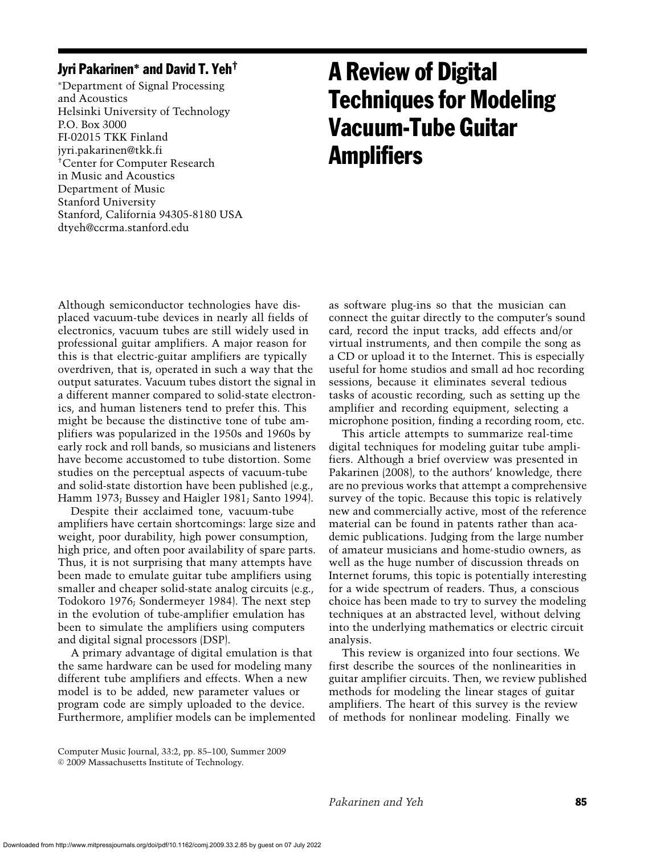# Jyri Pakarinen**<sup>∗</sup>** and David T. Yeh†

<sup>∗</sup>Department of Signal Processing and Acoustics Helsinki University of Technology P.O. Box 3000 FI-02015 TKK Finland jyri.pakarinen@tkk.fi †Center for Computer Research in Music and Acoustics Department of Music Stanford University Stanford, California 94305-8180 USA dtyeh@ccrma.stanford.edu

# A Review of Digital Techniques for Modeling Vacuum-Tube Guitar **Amplifiers**

Although semiconductor technologies have displaced vacuum-tube devices in nearly all fields of electronics, vacuum tubes are still widely used in professional guitar amplifiers. A major reason for this is that electric-guitar amplifiers are typically overdriven, that is, operated in such a way that the output saturates. Vacuum tubes distort the signal in a different manner compared to solid-state electronics, and human listeners tend to prefer this. This might be because the distinctive tone of tube amplifiers was popularized in the 1950s and 1960s by early rock and roll bands, so musicians and listeners have become accustomed to tube distortion. Some studies on the perceptual aspects of vacuum-tube and solid-state distortion have been published (e.g., Hamm 1973; Bussey and Haigler 1981; Santo 1994).

Despite their acclaimed tone, vacuum-tube amplifiers have certain shortcomings: large size and weight, poor durability, high power consumption, high price, and often poor availability of spare parts. Thus, it is not surprising that many attempts have been made to emulate guitar tube amplifiers using smaller and cheaper solid-state analog circuits (e.g., Todokoro 1976; Sondermeyer 1984). The next step in the evolution of tube-amplifier emulation has been to simulate the amplifiers using computers and digital signal processors (DSP).

A primary advantage of digital emulation is that the same hardware can be used for modeling many different tube amplifiers and effects. When a new model is to be added, new parameter values or program code are simply uploaded to the device. Furthermore, amplifier models can be implemented as software plug-ins so that the musician can connect the guitar directly to the computer's sound card, record the input tracks, add effects and/or virtual instruments, and then compile the song as a CD or upload it to the Internet. This is especially useful for home studios and small ad hoc recording sessions, because it eliminates several tedious tasks of acoustic recording, such as setting up the amplifier and recording equipment, selecting a microphone position, finding a recording room, etc.

This article attempts to summarize real-time digital techniques for modeling guitar tube amplifiers. Although a brief overview was presented in Pakarinen (2008), to the authors' knowledge, there are no previous works that attempt a comprehensive survey of the topic. Because this topic is relatively new and commercially active, most of the reference material can be found in patents rather than academic publications. Judging from the large number of amateur musicians and home-studio owners, as well as the huge number of discussion threads on Internet forums, this topic is potentially interesting for a wide spectrum of readers. Thus, a conscious choice has been made to try to survey the modeling techniques at an abstracted level, without delving into the underlying mathematics or electric circuit analysis.

This review is organized into four sections. We first describe the sources of the nonlinearities in guitar amplifier circuits. Then, we review published methods for modeling the linear stages of guitar amplifiers. The heart of this survey is the review of methods for nonlinear modeling. Finally we

Computer Music Journal, 33:2, pp. 85–100, Summer 2009  $©$  2009 Massachusetts Institute of Technology.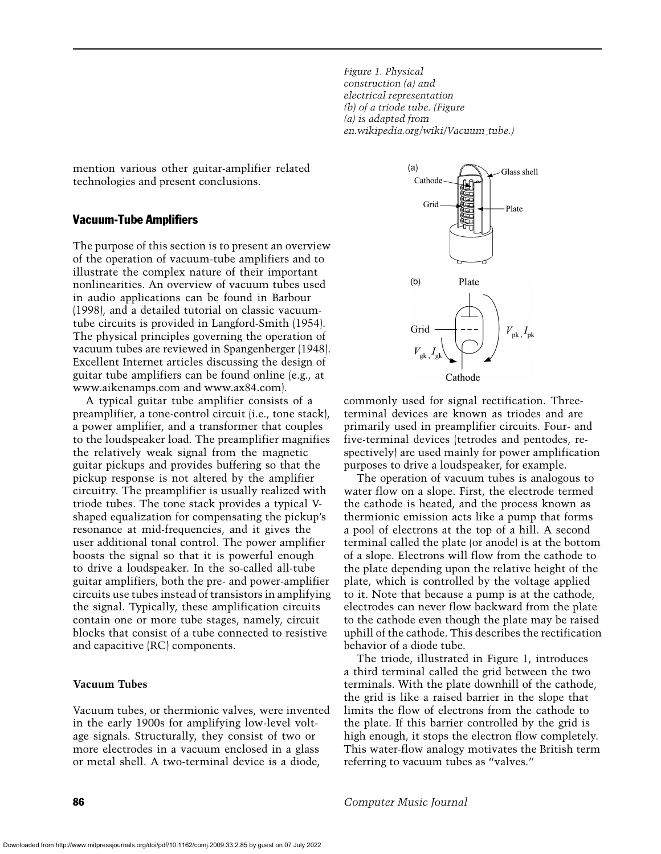*Figure 1. Physical construction (a) and electrical representation (b) of a triode tube. (Figure (a) is adapted from en.wikipedia.org/wiki/Vacuum tube.)*

mention various other guitar-amplifier related technologies and present conclusions.

# Vacuum-Tube Amplifiers

The purpose of this section is to present an overview of the operation of vacuum-tube amplifiers and to illustrate the complex nature of their important nonlinearities. An overview of vacuum tubes used in audio applications can be found in Barbour (1998), and a detailed tutorial on classic vacuumtube circuits is provided in Langford-Smith (1954). The physical principles governing the operation of vacuum tubes are reviewed in Spangenberger (1948). Excellent Internet articles discussing the design of guitar tube amplifiers can be found online (e.g., at www.aikenamps.com and www.ax84.com).

A typical guitar tube amplifier consists of a preamplifier, a tone-control circuit (i.e., tone stack), a power amplifier, and a transformer that couples to the loudspeaker load. The preamplifier magnifies the relatively weak signal from the magnetic guitar pickups and provides buffering so that the pickup response is not altered by the amplifier circuitry. The preamplifier is usually realized with triode tubes. The tone stack provides a typical Vshaped equalization for compensating the pickup's resonance at mid-frequencies, and it gives the user additional tonal control. The power amplifier boosts the signal so that it is powerful enough to drive a loudspeaker. In the so-called all-tube guitar amplifiers, both the pre- and power-amplifier circuits use tubes instead of transistors in amplifying the signal. Typically, these amplification circuits contain one or more tube stages, namely, circuit blocks that consist of a tube connected to resistive and capacitive (RC) components.

# **Vacuum Tubes**

Vacuum tubes, or thermionic valves, were invented in the early 1900s for amplifying low-level voltage signals. Structurally, they consist of two or more electrodes in a vacuum enclosed in a glass or metal shell. A two-terminal device is a diode,



commonly used for signal rectification. Threeterminal devices are known as triodes and are primarily used in preamplifier circuits. Four- and five-terminal devices (tetrodes and pentodes, respectively) are used mainly for power amplification purposes to drive a loudspeaker, for example.

The operation of vacuum tubes is analogous to water flow on a slope. First, the electrode termed the cathode is heated, and the process known as thermionic emission acts like a pump that forms a pool of electrons at the top of a hill. A second terminal called the plate (or anode) is at the bottom of a slope. Electrons will flow from the cathode to the plate depending upon the relative height of the plate, which is controlled by the voltage applied to it. Note that because a pump is at the cathode, electrodes can never flow backward from the plate to the cathode even though the plate may be raised uphill of the cathode. This describes the rectification behavior of a diode tube.

The triode, illustrated in Figure 1, introduces a third terminal called the grid between the two terminals. With the plate downhill of the cathode, the grid is like a raised barrier in the slope that limits the flow of electrons from the cathode to the plate. If this barrier controlled by the grid is high enough, it stops the electron flow completely. This water-flow analogy motivates the British term referring to vacuum tubes as "valves."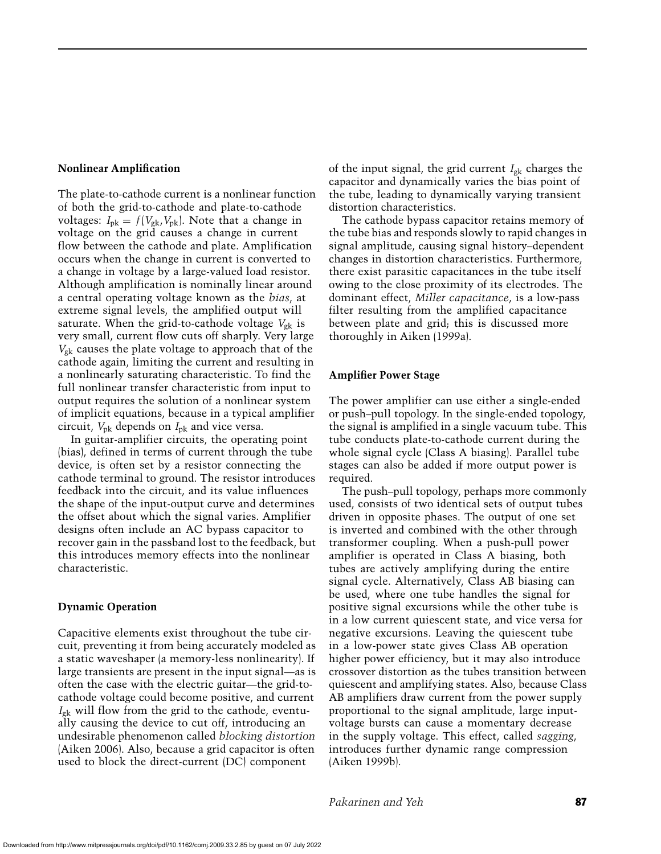#### **Nonlinear Amplification**

The plate-to-cathode current is a nonlinear function of both the grid-to-cathode and plate-to-cathode voltages:  $I_{\rm pk} = f(V_{\rm pk}, V_{\rm pk})$ . Note that a change in voltage on the grid causes a change in current flow between the cathode and plate. Amplification occurs when the change in current is converted to a change in voltage by a large-valued load resistor. Although amplification is nominally linear around a central operating voltage known as the *bias*, at extreme signal levels, the amplified output will saturate. When the grid-to-cathode voltage  $V_{\rm gk}$  is very small, current flow cuts off sharply. Very large *V*gk causes the plate voltage to approach that of the cathode again, limiting the current and resulting in a nonlinearly saturating characteristic. To find the full nonlinear transfer characteristic from input to output requires the solution of a nonlinear system of implicit equations, because in a typical amplifier circuit, *V*pk depends on *I*pk and vice versa.

In guitar-amplifier circuits, the operating point (bias), defined in terms of current through the tube device, is often set by a resistor connecting the cathode terminal to ground. The resistor introduces feedback into the circuit, and its value influences the shape of the input-output curve and determines the offset about which the signal varies. Amplifier designs often include an AC bypass capacitor to recover gain in the passband lost to the feedback, but this introduces memory effects into the nonlinear characteristic.

#### **Dynamic Operation**

Capacitive elements exist throughout the tube circuit, preventing it from being accurately modeled as a static waveshaper (a memory-less nonlinearity). If large transients are present in the input signal—as is often the case with the electric guitar—the grid-tocathode voltage could become positive, and current *I*gk will flow from the grid to the cathode, eventually causing the device to cut off, introducing an undesirable phenomenon called *blocking distortion* (Aiken 2006). Also, because a grid capacitor is often used to block the direct-current (DC) component

of the input signal, the grid current *I*gk charges the capacitor and dynamically varies the bias point of the tube, leading to dynamically varying transient distortion characteristics.

The cathode bypass capacitor retains memory of the tube bias and responds slowly to rapid changes in signal amplitude, causing signal history–dependent changes in distortion characteristics. Furthermore, there exist parasitic capacitances in the tube itself owing to the close proximity of its electrodes. The dominant effect, *Miller capacitance*, is a low-pass filter resulting from the amplified capacitance between plate and grid; this is discussed more thoroughly in Aiken (1999a).

#### **Amplifier Power Stage**

The power amplifier can use either a single-ended or push–pull topology. In the single-ended topology, the signal is amplified in a single vacuum tube. This tube conducts plate-to-cathode current during the whole signal cycle (Class A biasing). Parallel tube stages can also be added if more output power is required.

The push–pull topology, perhaps more commonly used, consists of two identical sets of output tubes driven in opposite phases. The output of one set is inverted and combined with the other through transformer coupling. When a push-pull power amplifier is operated in Class A biasing, both tubes are actively amplifying during the entire signal cycle. Alternatively, Class AB biasing can be used, where one tube handles the signal for positive signal excursions while the other tube is in a low current quiescent state, and vice versa for negative excursions. Leaving the quiescent tube in a low-power state gives Class AB operation higher power efficiency, but it may also introduce crossover distortion as the tubes transition between quiescent and amplifying states. Also, because Class AB amplifiers draw current from the power supply proportional to the signal amplitude, large inputvoltage bursts can cause a momentary decrease in the supply voltage. This effect, called *sagging*, introduces further dynamic range compression (Aiken 1999b).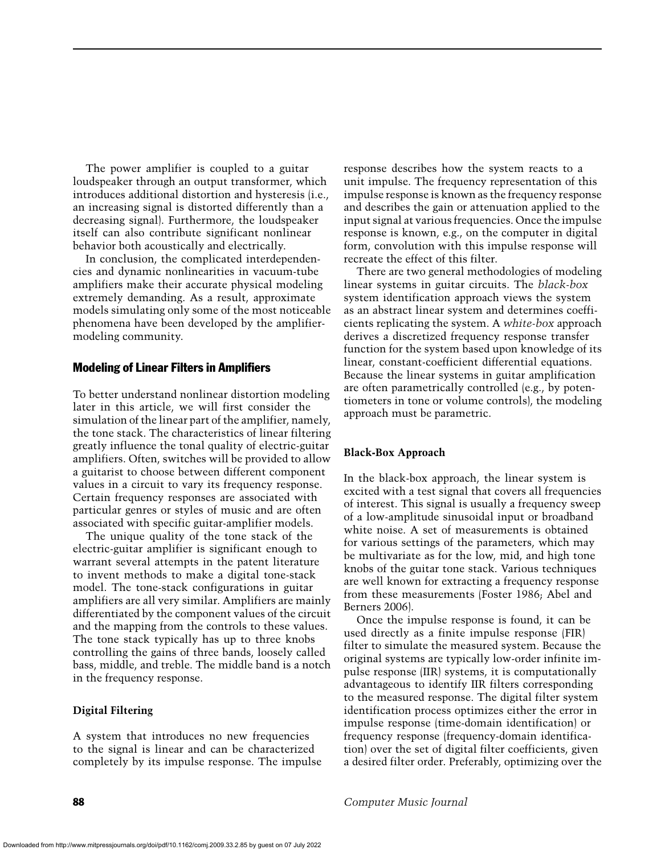The power amplifier is coupled to a guitar loudspeaker through an output transformer, which introduces additional distortion and hysteresis (i.e., an increasing signal is distorted differently than a decreasing signal). Furthermore, the loudspeaker itself can also contribute significant nonlinear behavior both acoustically and electrically.

In conclusion, the complicated interdependencies and dynamic nonlinearities in vacuum-tube amplifiers make their accurate physical modeling extremely demanding. As a result, approximate models simulating only some of the most noticeable phenomena have been developed by the amplifiermodeling community.

#### Modeling of Linear Filters in Amplifiers

To better understand nonlinear distortion modeling later in this article, we will first consider the simulation of the linear part of the amplifier, namely, the tone stack. The characteristics of linear filtering greatly influence the tonal quality of electric-guitar amplifiers. Often, switches will be provided to allow a guitarist to choose between different component values in a circuit to vary its frequency response. Certain frequency responses are associated with particular genres or styles of music and are often associated with specific guitar-amplifier models.

The unique quality of the tone stack of the electric-guitar amplifier is significant enough to warrant several attempts in the patent literature to invent methods to make a digital tone-stack model. The tone-stack configurations in guitar amplifiers are all very similar. Amplifiers are mainly differentiated by the component values of the circuit and the mapping from the controls to these values. The tone stack typically has up to three knobs controlling the gains of three bands, loosely called bass, middle, and treble. The middle band is a notch in the frequency response.

#### **Digital Filtering**

A system that introduces no new frequencies to the signal is linear and can be characterized completely by its impulse response. The impulse response describes how the system reacts to a unit impulse. The frequency representation of this impulse response is known as the frequency response and describes the gain or attenuation applied to the input signal at various frequencies. Once the impulse response is known, e.g., on the computer in digital form, convolution with this impulse response will recreate the effect of this filter.

There are two general methodologies of modeling linear systems in guitar circuits. The *black-box* system identification approach views the system as an abstract linear system and determines coefficients replicating the system. A *white-box* approach derives a discretized frequency response transfer function for the system based upon knowledge of its linear, constant-coefficient differential equations. Because the linear systems in guitar amplification are often parametrically controlled (e.g., by potentiometers in tone or volume controls), the modeling approach must be parametric.

#### **Black-Box Approach**

In the black-box approach, the linear system is excited with a test signal that covers all frequencies of interest. This signal is usually a frequency sweep of a low-amplitude sinusoidal input or broadband white noise. A set of measurements is obtained for various settings of the parameters, which may be multivariate as for the low, mid, and high tone knobs of the guitar tone stack. Various techniques are well known for extracting a frequency response from these measurements (Foster 1986; Abel and Berners 2006).

Once the impulse response is found, it can be used directly as a finite impulse response (FIR) filter to simulate the measured system. Because the original systems are typically low-order infinite impulse response (IIR) systems, it is computationally advantageous to identify IIR filters corresponding to the measured response. The digital filter system identification process optimizes either the error in impulse response (time-domain identification) or frequency response (frequency-domain identification) over the set of digital filter coefficients, given a desired filter order. Preferably, optimizing over the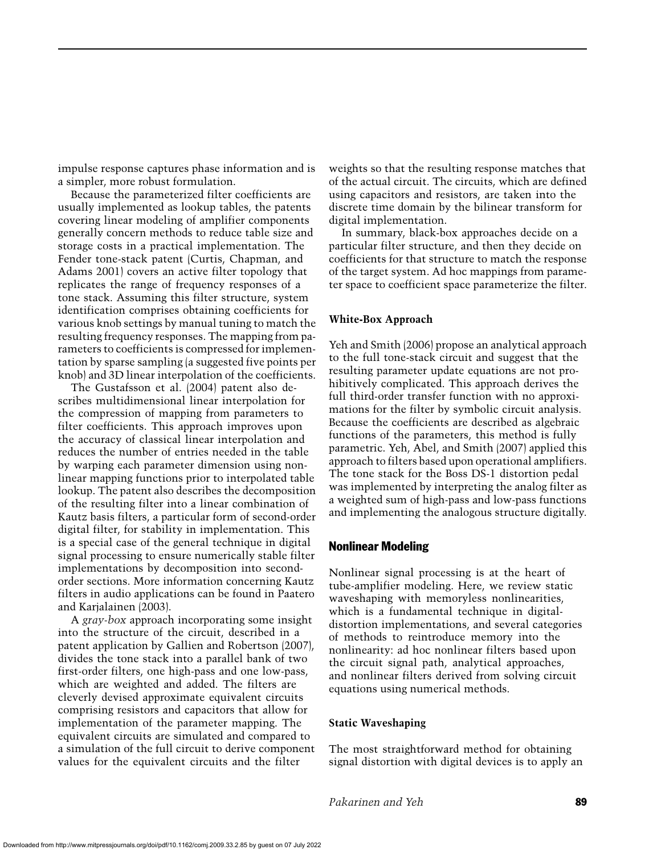impulse response captures phase information and is a simpler, more robust formulation.

Because the parameterized filter coefficients are usually implemented as lookup tables, the patents covering linear modeling of amplifier components generally concern methods to reduce table size and storage costs in a practical implementation. The Fender tone-stack patent (Curtis, Chapman, and Adams 2001) covers an active filter topology that replicates the range of frequency responses of a tone stack. Assuming this filter structure, system identification comprises obtaining coefficients for various knob settings by manual tuning to match the resulting frequency responses. The mapping from parameters to coefficients is compressed for implementation by sparse sampling (a suggested five points per knob) and 3D linear interpolation of the coefficients.

The Gustafsson et al. (2004) patent also describes multidimensional linear interpolation for the compression of mapping from parameters to filter coefficients. This approach improves upon the accuracy of classical linear interpolation and reduces the number of entries needed in the table by warping each parameter dimension using nonlinear mapping functions prior to interpolated table lookup. The patent also describes the decomposition of the resulting filter into a linear combination of Kautz basis filters, a particular form of second-order digital filter, for stability in implementation. This is a special case of the general technique in digital signal processing to ensure numerically stable filter implementations by decomposition into secondorder sections. More information concerning Kautz filters in audio applications can be found in Paatero and Karjalainen (2003).

A *gray-box* approach incorporating some insight into the structure of the circuit, described in a patent application by Gallien and Robertson (2007), divides the tone stack into a parallel bank of two first-order filters, one high-pass and one low-pass, which are weighted and added. The filters are cleverly devised approximate equivalent circuits comprising resistors and capacitors that allow for implementation of the parameter mapping. The equivalent circuits are simulated and compared to a simulation of the full circuit to derive component values for the equivalent circuits and the filter

weights so that the resulting response matches that of the actual circuit. The circuits, which are defined using capacitors and resistors, are taken into the discrete time domain by the bilinear transform for digital implementation.

In summary, black-box approaches decide on a particular filter structure, and then they decide on coefficients for that structure to match the response of the target system. Ad hoc mappings from parameter space to coefficient space parameterize the filter.

#### **White-Box Approach**

Yeh and Smith (2006) propose an analytical approach to the full tone-stack circuit and suggest that the resulting parameter update equations are not prohibitively complicated. This approach derives the full third-order transfer function with no approximations for the filter by symbolic circuit analysis. Because the coefficients are described as algebraic functions of the parameters, this method is fully parametric. Yeh, Abel, and Smith (2007) applied this approach to filters based upon operational amplifiers. The tone stack for the Boss DS-1 distortion pedal was implemented by interpreting the analog filter as a weighted sum of high-pass and low-pass functions and implementing the analogous structure digitally.

#### Nonlinear Modeling

Nonlinear signal processing is at the heart of tube-amplifier modeling. Here, we review static waveshaping with memoryless nonlinearities, which is a fundamental technique in digitaldistortion implementations, and several categories of methods to reintroduce memory into the nonlinearity: ad hoc nonlinear filters based upon the circuit signal path, analytical approaches, and nonlinear filters derived from solving circuit equations using numerical methods.

# **Static Waveshaping**

The most straightforward method for obtaining signal distortion with digital devices is to apply an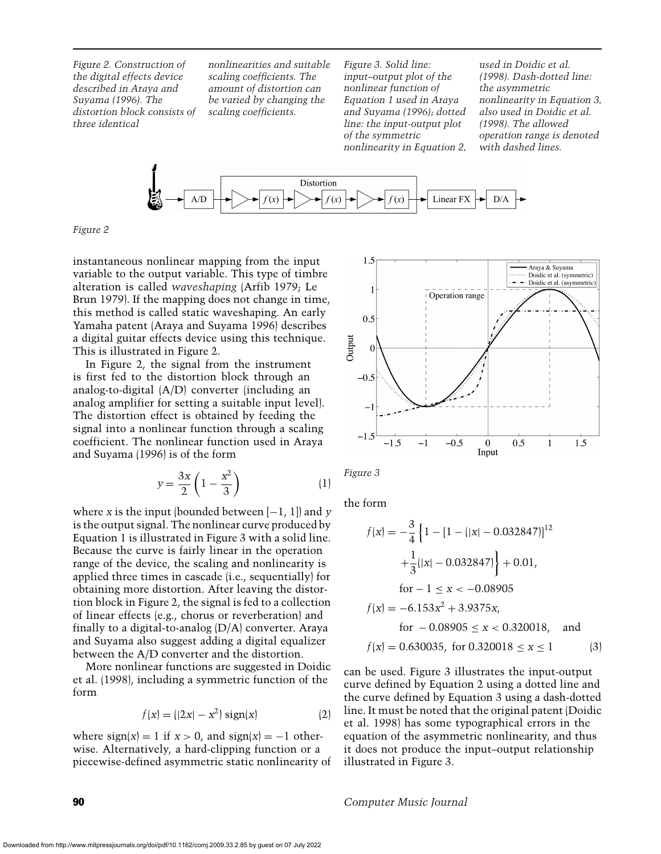*Figure 2. Construction of the digital effects device described in Araya and Suyama (1996). The distortion block consists of three identical*

*nonlinearities and suitable scaling coefficients. The amount of distortion can be varied by changing the scaling coefficients.*

*Figure 3. Solid line: input–output plot of the nonlinear function of Equation 1 used in Araya and Suyama (1996); dotted line: the input-output plot of the symmetric nonlinearity in Equation 2,*

*used in Doidic et al. (1998). Dash-dotted line: the asymmetric nonlinearity in Equation 3, also used in Doidic et al. (1998). The allowed operation range is denoted with dashed lines.*



*Figure 2*

instantaneous nonlinear mapping from the input variable to the output variable. This type of timbre alteration is called *waveshaping* (Arfib 1979; Le Brun 1979). If the mapping does not change in time, this method is called static waveshaping. An early Yamaha patent (Araya and Suyama 1996) describes a digital guitar effects device using this technique. This is illustrated in Figure 2.

In Figure 2, the signal from the instrument is first fed to the distortion block through an analog-to-digital (A/D) converter (including an analog amplifier for setting a suitable input level). The distortion effect is obtained by feeding the signal into a nonlinear function through a scaling coefficient. The nonlinear function used in Araya and Suyama (1996) is of the form

$$
y = \frac{3x}{2} \left( 1 - \frac{x^2}{3} \right) \tag{1}
$$

where *x* is the input (bounded between  $[-1, 1]$ ) and *y* is the output signal. The nonlinear curve produced by Equation 1 is illustrated in Figure 3 with a solid line. Because the curve is fairly linear in the operation range of the device, the scaling and nonlinearity is applied three times in cascade (i.e., sequentially) for obtaining more distortion. After leaving the distortion block in Figure 2, the signal is fed to a collection of linear effects (e.g., chorus or reverberation) and finally to a digital-to-analog (D/A) converter. Araya and Suyama also suggest adding a digital equalizer between the A/D converter and the distortion.

More nonlinear functions are suggested in Doidic et al. (1998), including a symmetric function of the form

$$
f(x) = (|2x| - x^2) \operatorname{sign}(x) \tag{2}
$$

where  $sign(x) = 1$  if  $x > 0$ , and  $sign(x) = -1$  otherwise. Alternatively, a hard-clipping function or a piecewise-defined asymmetric static nonlinearity of



*Figure 3*

the form

$$
f(x) = -\frac{3}{4} \left\{ 1 - [1 - (|x| - 0.032847)]^{12} + \frac{1}{3} (|x| - 0.032847) \right\} + 0.01,
$$
  
for  $-1 \le x < -0.08905$   

$$
f(x) = -6.153x^2 + 3.9375x,
$$
  
for  $-0.08905 \le x < 0.320018$ , and  

$$
f(x) = 0.630035, \text{ for } 0.320018 \le x \le 1
$$
 (3)

can be used. Figure 3 illustrates the input-output curve defined by Equation 2 using a dotted line and the curve defined by Equation 3 using a dash-dotted line. It must be noted that the original patent (Doidic et al. 1998) has some typographical errors in the equation of the asymmetric nonlinearity, and thus it does not produce the input–output relationship illustrated in Figure 3.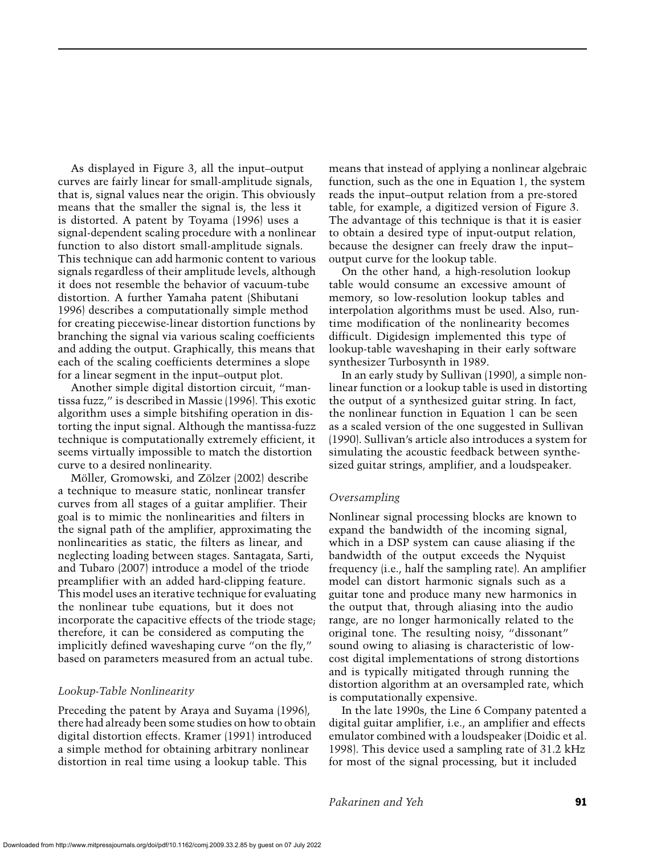As displayed in Figure 3, all the input–output curves are fairly linear for small-amplitude signals, that is, signal values near the origin. This obviously means that the smaller the signal is, the less it is distorted. A patent by Toyama (1996) uses a signal-dependent scaling procedure with a nonlinear function to also distort small-amplitude signals. This technique can add harmonic content to various signals regardless of their amplitude levels, although it does not resemble the behavior of vacuum-tube distortion. A further Yamaha patent (Shibutani 1996) describes a computationally simple method for creating piecewise-linear distortion functions by branching the signal via various scaling coefficients and adding the output. Graphically, this means that each of the scaling coefficients determines a slope for a linear segment in the input–output plot.

Another simple digital distortion circuit, "mantissa fuzz," is described in Massie (1996). This exotic algorithm uses a simple bitshifing operation in distorting the input signal. Although the mantissa-fuzz technique is computationally extremely efficient, it seems virtually impossible to match the distortion curve to a desired nonlinearity.

Möller, Gromowski, and Zölzer (2002) describe a technique to measure static, nonlinear transfer curves from all stages of a guitar amplifier. Their goal is to mimic the nonlinearities and filters in the signal path of the amplifier, approximating the nonlinearities as static, the filters as linear, and neglecting loading between stages. Santagata, Sarti, and Tubaro (2007) introduce a model of the triode preamplifier with an added hard-clipping feature. This model uses an iterative technique for evaluating the nonlinear tube equations, but it does not incorporate the capacitive effects of the triode stage; therefore, it can be considered as computing the implicitly defined waveshaping curve "on the fly," based on parameters measured from an actual tube.

#### *Lookup-Table Nonlinearity*

Preceding the patent by Araya and Suyama (1996), there had already been some studies on how to obtain digital distortion effects. Kramer (1991) introduced a simple method for obtaining arbitrary nonlinear distortion in real time using a lookup table. This

means that instead of applying a nonlinear algebraic function, such as the one in Equation 1, the system reads the input–output relation from a pre-stored table, for example, a digitized version of Figure 3. The advantage of this technique is that it is easier to obtain a desired type of input-output relation, because the designer can freely draw the input– output curve for the lookup table.

On the other hand, a high-resolution lookup table would consume an excessive amount of memory, so low-resolution lookup tables and interpolation algorithms must be used. Also, runtime modification of the nonlinearity becomes difficult. Digidesign implemented this type of lookup-table waveshaping in their early software synthesizer Turbosynth in 1989.

In an early study by Sullivan (1990), a simple nonlinear function or a lookup table is used in distorting the output of a synthesized guitar string. In fact, the nonlinear function in Equation 1 can be seen as a scaled version of the one suggested in Sullivan (1990). Sullivan's article also introduces a system for simulating the acoustic feedback between synthesized guitar strings, amplifier, and a loudspeaker.

#### *Oversampling*

Nonlinear signal processing blocks are known to expand the bandwidth of the incoming signal, which in a DSP system can cause aliasing if the bandwidth of the output exceeds the Nyquist frequency (i.e., half the sampling rate). An amplifier model can distort harmonic signals such as a guitar tone and produce many new harmonics in the output that, through aliasing into the audio range, are no longer harmonically related to the original tone. The resulting noisy, "dissonant" sound owing to aliasing is characteristic of lowcost digital implementations of strong distortions and is typically mitigated through running the distortion algorithm at an oversampled rate, which is computationally expensive.

In the late 1990s, the Line 6 Company patented a digital guitar amplifier, i.e., an amplifier and effects emulator combined with a loudspeaker (Doidic et al. 1998). This device used a sampling rate of 31.2 kHz for most of the signal processing, but it included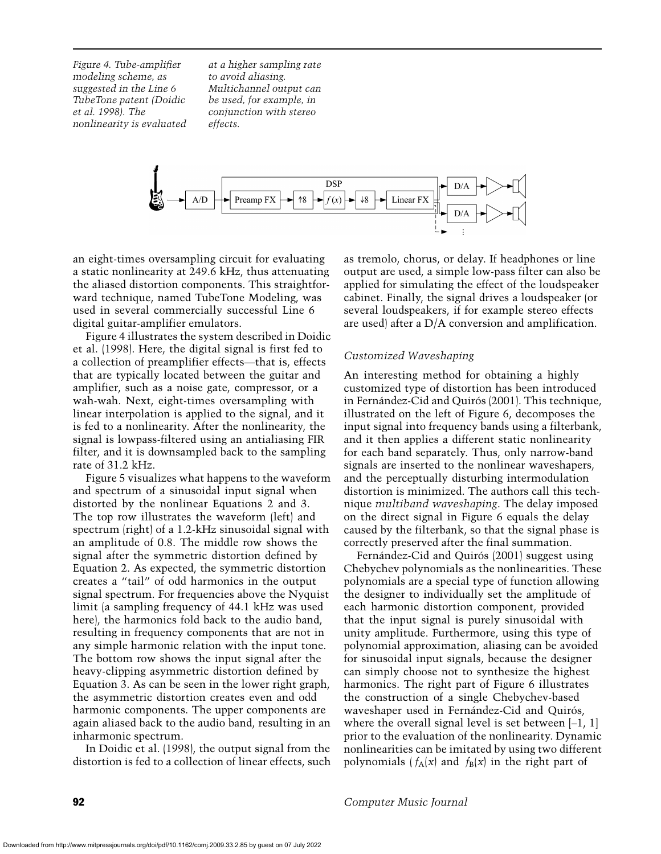*Figure 4. Tube-amplifier modeling scheme, as suggested in the Line 6 TubeTone patent (Doidic et al. 1998). The nonlinearity is evaluated*

*at a higher sampling rate to avoid aliasing. Multichannel output can be used, for example, in conjunction with stereo effects.*



an eight-times oversampling circuit for evaluating a static nonlinearity at 249.6 kHz, thus attenuating the aliased distortion components. This straightforward technique, named TubeTone Modeling, was used in several commercially successful Line 6 digital guitar-amplifier emulators.

Figure 4 illustrates the system described in Doidic et al. (1998). Here, the digital signal is first fed to a collection of preamplifier effects—that is, effects that are typically located between the guitar and amplifier, such as a noise gate, compressor, or a wah-wah. Next, eight-times oversampling with linear interpolation is applied to the signal, and it is fed to a nonlinearity. After the nonlinearity, the signal is lowpass-filtered using an antialiasing FIR filter, and it is downsampled back to the sampling rate of 31.2 kHz.

Figure 5 visualizes what happens to the waveform and spectrum of a sinusoidal input signal when distorted by the nonlinear Equations 2 and 3. The top row illustrates the waveform (left) and spectrum (right) of a 1.2-kHz sinusoidal signal with an amplitude of 0.8. The middle row shows the signal after the symmetric distortion defined by Equation 2. As expected, the symmetric distortion creates a "tail" of odd harmonics in the output signal spectrum. For frequencies above the Nyquist limit (a sampling frequency of 44.1 kHz was used here), the harmonics fold back to the audio band, resulting in frequency components that are not in any simple harmonic relation with the input tone. The bottom row shows the input signal after the heavy-clipping asymmetric distortion defined by Equation 3. As can be seen in the lower right graph, the asymmetric distortion creates even and odd harmonic components. The upper components are again aliased back to the audio band, resulting in an inharmonic spectrum.

In Doidic et al. (1998), the output signal from the distortion is fed to a collection of linear effects, such as tremolo, chorus, or delay. If headphones or line output are used, a simple low-pass filter can also be applied for simulating the effect of the loudspeaker cabinet. Finally, the signal drives a loudspeaker (or several loudspeakers, if for example stereo effects are used) after a D/A conversion and amplification.

# *Customized Waveshaping*

An interesting method for obtaining a highly customized type of distortion has been introduced in Fernández-Cid and Quirós (2001). This technique, illustrated on the left of Figure 6, decomposes the input signal into frequency bands using a filterbank, and it then applies a different static nonlinearity for each band separately. Thus, only narrow-band signals are inserted to the nonlinear waveshapers, and the perceptually disturbing intermodulation distortion is minimized. The authors call this technique *multiband waveshaping*. The delay imposed on the direct signal in Figure 6 equals the delay caused by the filterbank, so that the signal phase is correctly preserved after the final summation.

Fernández-Cid and Quirós (2001) suggest using Chebychev polynomials as the nonlinearities. These polynomials are a special type of function allowing the designer to individually set the amplitude of each harmonic distortion component, provided that the input signal is purely sinusoidal with unity amplitude. Furthermore, using this type of polynomial approximation, aliasing can be avoided for sinusoidal input signals, because the designer can simply choose not to synthesize the highest harmonics. The right part of Figure 6 illustrates the construction of a single Chebychev-based waveshaper used in Fernández-Cid and Quirós, where the overall signal level is set between  $[-1, 1]$ prior to the evaluation of the nonlinearity. Dynamic nonlinearities can be imitated by using two different polynomials  $(f_A(x))$  and  $f_B(x)$  in the right part of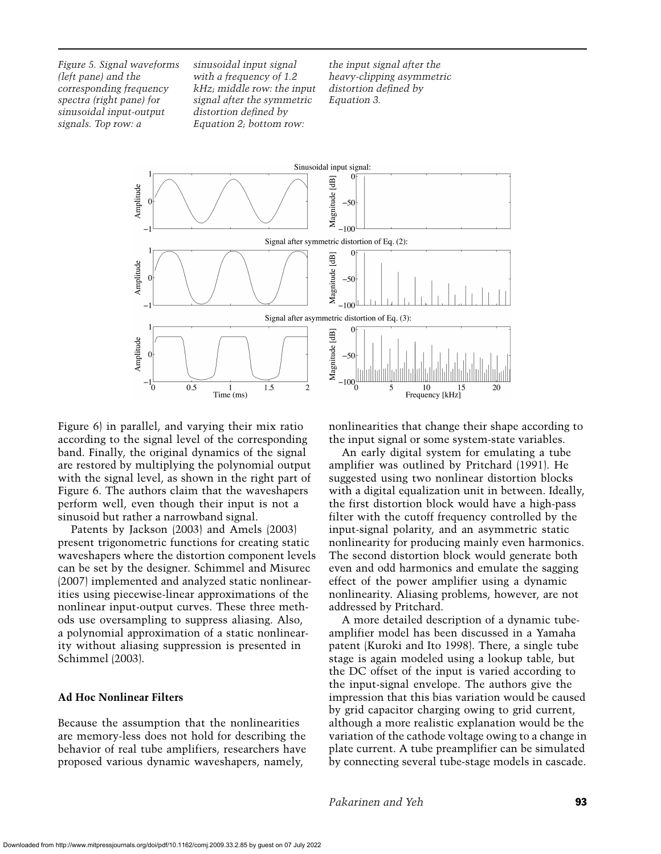*Figure 5. Signal waveforms (left pane) and the corresponding frequency spectra (right pane) for sinusoidal input-output signals. Top row: a*

*sinusoidal input signal with a frequency of 1.2 kHz; middle row: the input signal after the symmetric distortion defined by Equation 2; bottom row:*

*the input signal after the heavy-clipping asymmetric distortion defined by Equation 3.*



Figure 6) in parallel, and varying their mix ratio according to the signal level of the corresponding band. Finally, the original dynamics of the signal are restored by multiplying the polynomial output with the signal level, as shown in the right part of Figure 6. The authors claim that the waveshapers perform well, even though their input is not a sinusoid but rather a narrowband signal.

Patents by Jackson (2003) and Amels (2003) present trigonometric functions for creating static waveshapers where the distortion component levels can be set by the designer. Schimmel and Misurec (2007) implemented and analyzed static nonlinearities using piecewise-linear approximations of the nonlinear input-output curves. These three methods use oversampling to suppress aliasing. Also, a polynomial approximation of a static nonlinearity without aliasing suppression is presented in Schimmel (2003).

# **Ad Hoc Nonlinear Filters**

Because the assumption that the nonlinearities are memory-less does not hold for describing the behavior of real tube amplifiers, researchers have proposed various dynamic waveshapers, namely,

nonlinearities that change their shape according to the input signal or some system-state variables.

An early digital system for emulating a tube amplifier was outlined by Pritchard (1991). He suggested using two nonlinear distortion blocks with a digital equalization unit in between. Ideally, the first distortion block would have a high-pass filter with the cutoff frequency controlled by the input-signal polarity, and an asymmetric static nonlinearity for producing mainly even harmonics. The second distortion block would generate both even and odd harmonics and emulate the sagging effect of the power amplifier using a dynamic nonlinearity. Aliasing problems, however, are not addressed by Pritchard.

A more detailed description of a dynamic tubeamplifier model has been discussed in a Yamaha patent (Kuroki and Ito 1998). There, a single tube stage is again modeled using a lookup table, but the DC offset of the input is varied according to the input-signal envelope. The authors give the impression that this bias variation would be caused by grid capacitor charging owing to grid current, although a more realistic explanation would be the variation of the cathode voltage owing to a change in plate current. A tube preamplifier can be simulated by connecting several tube-stage models in cascade.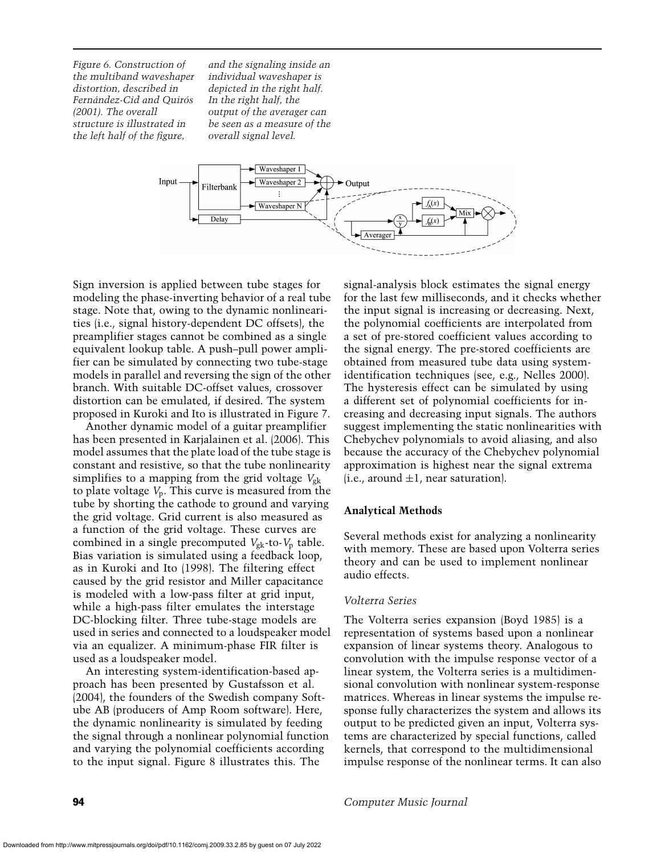*Figure 6. Construction of the multiband waveshaper distortion, described in Fernández-Cid and Ouirós (2001). The overall structure is illustrated in the left half of the figure,*

*and the signaling inside an individual waveshaper is depicted in the right half. In the right half, the output of the averager can be seen as a measure of the overall signal level.*



Sign inversion is applied between tube stages for modeling the phase-inverting behavior of a real tube stage. Note that, owing to the dynamic nonlinearities (i.e., signal history-dependent DC offsets), the preamplifier stages cannot be combined as a single equivalent lookup table. A push–pull power amplifier can be simulated by connecting two tube-stage models in parallel and reversing the sign of the other branch. With suitable DC-offset values, crossover distortion can be emulated, if desired. The system proposed in Kuroki and Ito is illustrated in Figure 7.

Another dynamic model of a guitar preamplifier has been presented in Karjalainen et al. (2006). This model assumes that the plate load of the tube stage is constant and resistive, so that the tube nonlinearity simplifies to a mapping from the grid voltage  $V_{\rm gk}$ to plate voltage *V*p. This curve is measured from the tube by shorting the cathode to ground and varying the grid voltage. Grid current is also measured as a function of the grid voltage. These curves are combined in a single precomputed  $V_{\rm gk}$ -to- $V_{\rm p}$  table. Bias variation is simulated using a feedback loop, as in Kuroki and Ito (1998). The filtering effect caused by the grid resistor and Miller capacitance is modeled with a low-pass filter at grid input, while a high-pass filter emulates the interstage DC-blocking filter. Three tube-stage models are used in series and connected to a loudspeaker model via an equalizer. A minimum-phase FIR filter is used as a loudspeaker model.

An interesting system-identification-based approach has been presented by Gustafsson et al. (2004), the founders of the Swedish company Softube AB (producers of Amp Room software). Here, the dynamic nonlinearity is simulated by feeding the signal through a nonlinear polynomial function and varying the polynomial coefficients according to the input signal. Figure 8 illustrates this. The

signal-analysis block estimates the signal energy for the last few milliseconds, and it checks whether the input signal is increasing or decreasing. Next, the polynomial coefficients are interpolated from a set of pre-stored coefficient values according to the signal energy. The pre-stored coefficients are obtained from measured tube data using systemidentification techniques (see, e.g., Nelles 2000). The hysteresis effect can be simulated by using a different set of polynomial coefficients for increasing and decreasing input signals. The authors suggest implementing the static nonlinearities with Chebychev polynomials to avoid aliasing, and also because the accuracy of the Chebychev polynomial approximation is highest near the signal extrema (i.e., around  $\pm 1$ , near saturation).

# **Analytical Methods**

Several methods exist for analyzing a nonlinearity with memory. These are based upon Volterra series theory and can be used to implement nonlinear audio effects.

#### *Volterra Series*

The Volterra series expansion (Boyd 1985) is a representation of systems based upon a nonlinear expansion of linear systems theory. Analogous to convolution with the impulse response vector of a linear system, the Volterra series is a multidimensional convolution with nonlinear system-response matrices. Whereas in linear systems the impulse response fully characterizes the system and allows its output to be predicted given an input, Volterra systems are characterized by special functions, called kernels, that correspond to the multidimensional impulse response of the nonlinear terms. It can also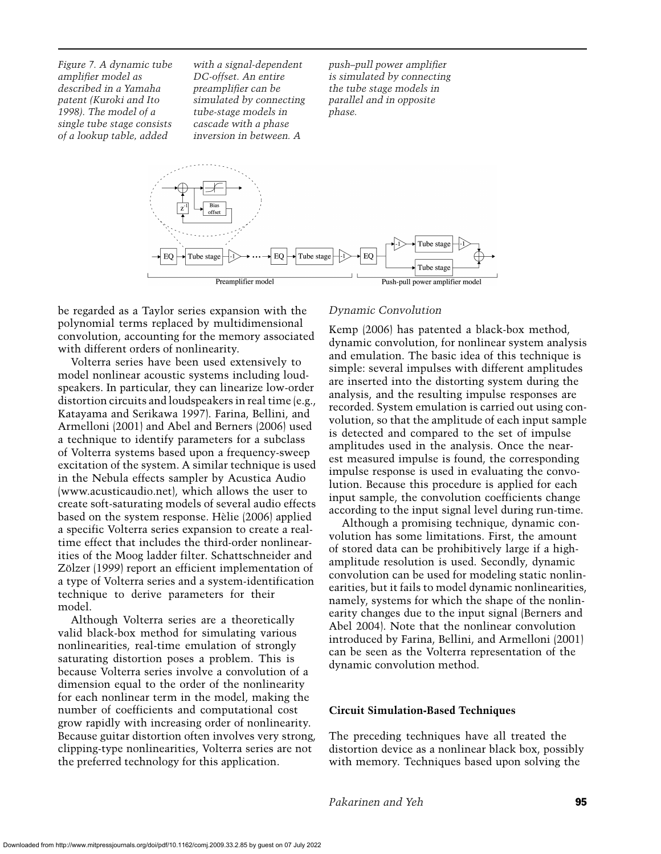*Figure 7. A dynamic tube amplifier model as described in a Yamaha patent (Kuroki and Ito 1998). The model of a single tube stage consists of a lookup table, added*

*with a signal-dependent DC-offset. An entire preamplifier can be simulated by connecting tube-stage models in cascade with a phase inversion in between. A*

*push–pull power amplifier is simulated by connecting the tube stage models in parallel and in opposite phase.*



be regarded as a Taylor series expansion with the polynomial terms replaced by multidimensional convolution, accounting for the memory associated with different orders of nonlinearity.

Volterra series have been used extensively to model nonlinear acoustic systems including loudspeakers. In particular, they can linearize low-order distortion circuits and loudspeakers in real time (e.g., Katayama and Serikawa 1997). Farina, Bellini, and Armelloni (2001) and Abel and Berners (2006) used a technique to identify parameters for a subclass of Volterra systems based upon a frequency-sweep excitation of the system. A similar technique is used in the Nebula effects sampler by Acustica Audio (www.acusticaudio.net), which allows the user to create soft-saturating models of several audio effects based on the system response. Helie (2006) applied ` a specific Volterra series expansion to create a realtime effect that includes the third-order nonlinearities of the Moog ladder filter. Schattschneider and Zölzer (1999) report an efficient implementation of a type of Volterra series and a system-identification technique to derive parameters for their model.

Although Volterra series are a theoretically valid black-box method for simulating various nonlinearities, real-time emulation of strongly saturating distortion poses a problem. This is because Volterra series involve a convolution of a dimension equal to the order of the nonlinearity for each nonlinear term in the model, making the number of coefficients and computational cost grow rapidly with increasing order of nonlinearity. Because guitar distortion often involves very strong, clipping-type nonlinearities, Volterra series are not the preferred technology for this application.

# *Dynamic Convolution*

Kemp (2006) has patented a black-box method, dynamic convolution, for nonlinear system analysis and emulation. The basic idea of this technique is simple: several impulses with different amplitudes are inserted into the distorting system during the analysis, and the resulting impulse responses are recorded. System emulation is carried out using convolution, so that the amplitude of each input sample is detected and compared to the set of impulse amplitudes used in the analysis. Once the nearest measured impulse is found, the corresponding impulse response is used in evaluating the convolution. Because this procedure is applied for each input sample, the convolution coefficients change according to the input signal level during run-time.

Although a promising technique, dynamic convolution has some limitations. First, the amount of stored data can be prohibitively large if a highamplitude resolution is used. Secondly, dynamic convolution can be used for modeling static nonlinearities, but it fails to model dynamic nonlinearities, namely, systems for which the shape of the nonlinearity changes due to the input signal (Berners and Abel 2004). Note that the nonlinear convolution introduced by Farina, Bellini, and Armelloni (2001) can be seen as the Volterra representation of the dynamic convolution method.

#### **Circuit Simulation-Based Techniques**

The preceding techniques have all treated the distortion device as a nonlinear black box, possibly with memory. Techniques based upon solving the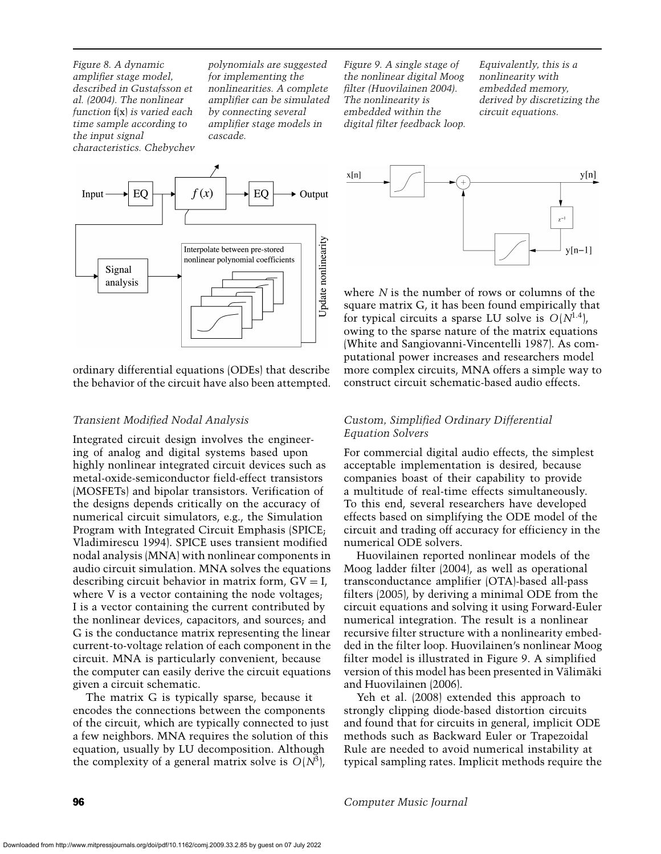*Figure 8. A dynamic amplifier stage model, described in Gustafsson et al. (2004). The nonlinear function* f(x) *is varied each time sample according to the input signal characteristics. Chebychev* *polynomials are suggested for implementing the nonlinearities. A complete amplifier can be simulated by connecting several amplifier stage models in cascade.*

*Figure 9. A single stage of the nonlinear digital Moog filter (Huovilainen 2004). The nonlinearity is embedded within the digital filter feedback loop.*

*Equivalently, this is a nonlinearity with embedded memory, derived by discretizing the circuit equations.*



ordinary differential equations (ODEs) that describe the behavior of the circuit have also been attempted.

# *Transient Modified Nodal Analysis*

Integrated circuit design involves the engineering of analog and digital systems based upon highly nonlinear integrated circuit devices such as metal-oxide-semiconductor field-effect transistors (MOSFETs) and bipolar transistors. Verification of the designs depends critically on the accuracy of numerical circuit simulators, e.g., the Simulation Program with Integrated Circuit Emphasis (SPICE; Vladimirescu 1994). SPICE uses transient modified nodal analysis (MNA) with nonlinear components in audio circuit simulation. MNA solves the equations describing circuit behavior in matrix form,  $GV = I$ , where V is a vector containing the node voltages; I is a vector containing the current contributed by the nonlinear devices, capacitors, and sources; and G is the conductance matrix representing the linear current-to-voltage relation of each component in the circuit. MNA is particularly convenient, because the computer can easily derive the circuit equations given a circuit schematic.

The matrix G is typically sparse, because it encodes the connections between the components of the circuit, which are typically connected to just a few neighbors. MNA requires the solution of this equation, usually by LU decomposition. Although the complexity of a general matrix solve is  $O(N^3)$ ,



where *N* is the number of rows or columns of the square matrix G, it has been found empirically that for typical circuits a sparse LU solve is  $O(N^{1.4})$ , owing to the sparse nature of the matrix equations (White and Sangiovanni-Vincentelli 1987). As computational power increases and researchers model more complex circuits, MNA offers a simple way to construct circuit schematic-based audio effects.

# *Custom, Simplified Ordinary Differential Equation Solvers*

For commercial digital audio effects, the simplest acceptable implementation is desired, because companies boast of their capability to provide a multitude of real-time effects simultaneously. To this end, several researchers have developed effects based on simplifying the ODE model of the circuit and trading off accuracy for efficiency in the numerical ODE solvers.

Huovilainen reported nonlinear models of the Moog ladder filter (2004), as well as operational transconductance amplifier (OTA)-based all-pass filters (2005), by deriving a minimal ODE from the circuit equations and solving it using Forward-Euler numerical integration. The result is a nonlinear recursive filter structure with a nonlinearity embedded in the filter loop. Huovilainen's nonlinear Moog filter model is illustrated in Figure 9. A simplified version of this model has been presented in Välimäki and Huovilainen (2006).

Yeh et al. (2008) extended this approach to strongly clipping diode-based distortion circuits and found that for circuits in general, implicit ODE methods such as Backward Euler or Trapezoidal Rule are needed to avoid numerical instability at typical sampling rates. Implicit methods require the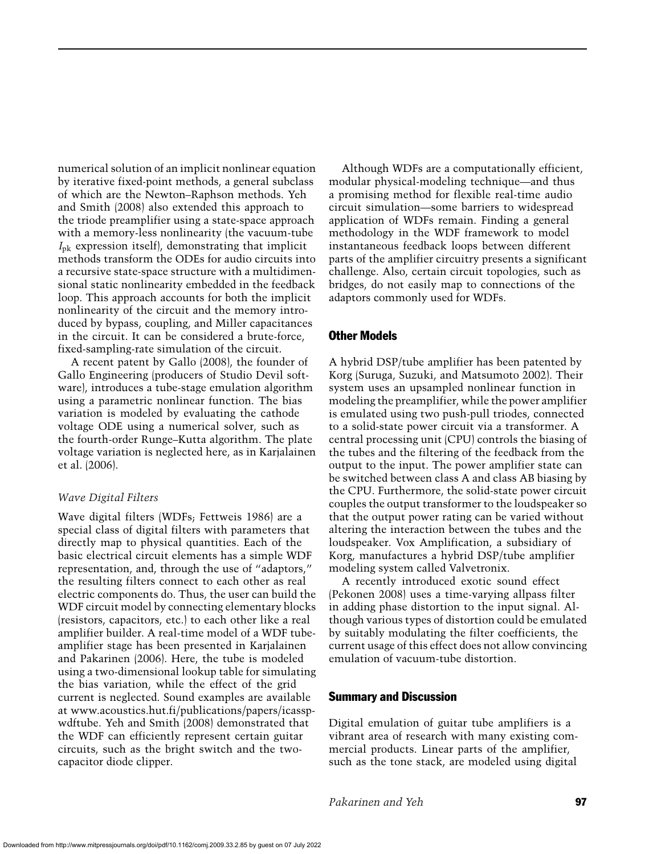numerical solution of an implicit nonlinear equation by iterative fixed-point methods, a general subclass of which are the Newton–Raphson methods. Yeh and Smith (2008) also extended this approach to the triode preamplifier using a state-space approach with a memory-less nonlinearity (the vacuum-tube *I*pk expression itself), demonstrating that implicit methods transform the ODEs for audio circuits into a recursive state-space structure with a multidimensional static nonlinearity embedded in the feedback loop. This approach accounts for both the implicit nonlinearity of the circuit and the memory introduced by bypass, coupling, and Miller capacitances in the circuit. It can be considered a brute-force, fixed-sampling-rate simulation of the circuit.

A recent patent by Gallo (2008), the founder of Gallo Engineering (producers of Studio Devil software), introduces a tube-stage emulation algorithm using a parametric nonlinear function. The bias variation is modeled by evaluating the cathode voltage ODE using a numerical solver, such as the fourth-order Runge–Kutta algorithm. The plate voltage variation is neglected here, as in Karjalainen et al. (2006).

# *Wave Digital Filters*

Wave digital filters (WDFs; Fettweis 1986) are a special class of digital filters with parameters that directly map to physical quantities. Each of the basic electrical circuit elements has a simple WDF representation, and, through the use of "adaptors," the resulting filters connect to each other as real electric components do. Thus, the user can build the WDF circuit model by connecting elementary blocks (resistors, capacitors, etc.) to each other like a real amplifier builder. A real-time model of a WDF tubeamplifier stage has been presented in Karjalainen and Pakarinen (2006). Here, the tube is modeled using a two-dimensional lookup table for simulating the bias variation, while the effect of the grid current is neglected. Sound examples are available at www.acoustics.hut.fi/publications/papers/icasspwdftube. Yeh and Smith (2008) demonstrated that the WDF can efficiently represent certain guitar circuits, such as the bright switch and the twocapacitor diode clipper.

Although WDFs are a computationally efficient, modular physical-modeling technique—and thus a promising method for flexible real-time audio circuit simulation—some barriers to widespread application of WDFs remain. Finding a general methodology in the WDF framework to model instantaneous feedback loops between different parts of the amplifier circuitry presents a significant challenge. Also, certain circuit topologies, such as bridges, do not easily map to connections of the adaptors commonly used for WDFs.

# Other Models

A hybrid DSP/tube amplifier has been patented by Korg (Suruga, Suzuki, and Matsumoto 2002). Their system uses an upsampled nonlinear function in modeling the preamplifier, while the power amplifier is emulated using two push-pull triodes, connected to a solid-state power circuit via a transformer. A central processing unit (CPU) controls the biasing of the tubes and the filtering of the feedback from the output to the input. The power amplifier state can be switched between class A and class AB biasing by the CPU. Furthermore, the solid-state power circuit couples the output transformer to the loudspeaker so that the output power rating can be varied without altering the interaction between the tubes and the loudspeaker. Vox Amplification, a subsidiary of Korg, manufactures a hybrid DSP/tube amplifier modeling system called Valvetronix.

A recently introduced exotic sound effect (Pekonen 2008) uses a time-varying allpass filter in adding phase distortion to the input signal. Although various types of distortion could be emulated by suitably modulating the filter coefficients, the current usage of this effect does not allow convincing emulation of vacuum-tube distortion.

# Summary and Discussion

Digital emulation of guitar tube amplifiers is a vibrant area of research with many existing commercial products. Linear parts of the amplifier, such as the tone stack, are modeled using digital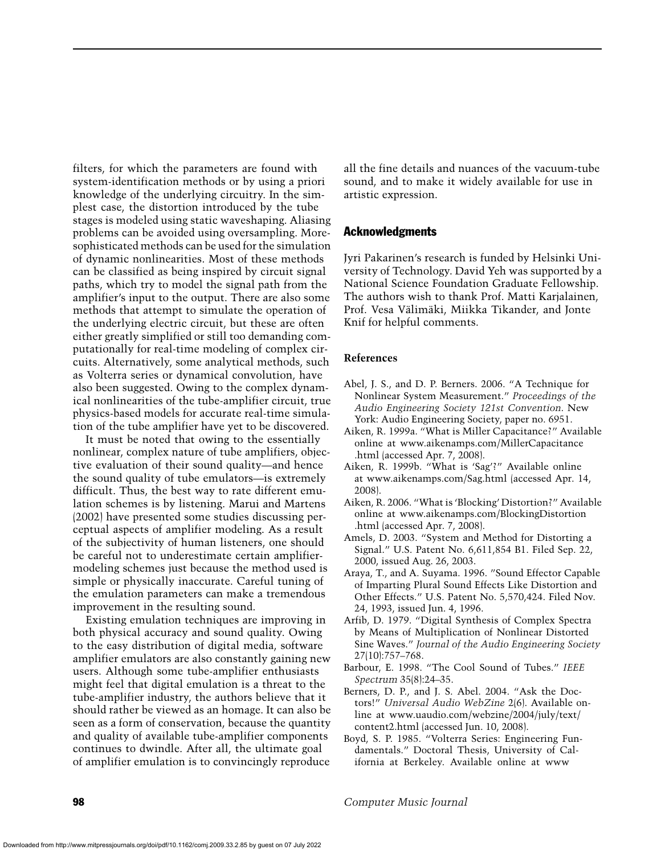filters, for which the parameters are found with system-identification methods or by using a priori knowledge of the underlying circuitry. In the simplest case, the distortion introduced by the tube stages is modeled using static waveshaping. Aliasing problems can be avoided using oversampling. Moresophisticated methods can be used for the simulation of dynamic nonlinearities. Most of these methods can be classified as being inspired by circuit signal paths, which try to model the signal path from the amplifier's input to the output. There are also some methods that attempt to simulate the operation of the underlying electric circuit, but these are often either greatly simplified or still too demanding computationally for real-time modeling of complex circuits. Alternatively, some analytical methods, such as Volterra series or dynamical convolution, have also been suggested. Owing to the complex dynamical nonlinearities of the tube-amplifier circuit, true physics-based models for accurate real-time simulation of the tube amplifier have yet to be discovered.

It must be noted that owing to the essentially nonlinear, complex nature of tube amplifiers, objective evaluation of their sound quality—and hence the sound quality of tube emulators—is extremely difficult. Thus, the best way to rate different emulation schemes is by listening. Marui and Martens (2002) have presented some studies discussing perceptual aspects of amplifier modeling. As a result of the subjectivity of human listeners, one should be careful not to underestimate certain amplifiermodeling schemes just because the method used is simple or physically inaccurate. Careful tuning of the emulation parameters can make a tremendous improvement in the resulting sound.

Existing emulation techniques are improving in both physical accuracy and sound quality. Owing to the easy distribution of digital media, software amplifier emulators are also constantly gaining new users. Although some tube-amplifier enthusiasts might feel that digital emulation is a threat to the tube-amplifier industry, the authors believe that it should rather be viewed as an homage. It can also be seen as a form of conservation, because the quantity and quality of available tube-amplifier components continues to dwindle. After all, the ultimate goal of amplifier emulation is to convincingly reproduce

all the fine details and nuances of the vacuum-tube sound, and to make it widely available for use in artistic expression.

# Acknowledgments

Jyri Pakarinen's research is funded by Helsinki University of Technology. David Yeh was supported by a National Science Foundation Graduate Fellowship. The authors wish to thank Prof. Matti Karjalainen, Prof. Vesa Välimäki, Miikka Tikander, and Jonte Knif for helpful comments.

#### **References**

- Abel, J. S., and D. P. Berners. 2006. "A Technique for Nonlinear System Measurement." *Proceedings of the Audio Engineering Society 121st Convention*. New York: Audio Engineering Society, paper no. 6951.
- Aiken, R. 1999a. "What is Miller Capacitance?" Available online at www.aikenamps.com/MillerCapacitance .html (accessed Apr. 7, 2008).
- Aiken, R. 1999b. "What is 'Sag'?" Available online at www.aikenamps.com/Sag.html (accessed Apr. 14, 2008).
- Aiken, R. 2006. "What is 'Blocking' Distortion?" Available online at www.aikenamps.com/BlockingDistortion .html (accessed Apr. 7, 2008).
- Amels, D. 2003. "System and Method for Distorting a Signal." U.S. Patent No. 6,611,854 B1. Filed Sep. 22, 2000, issued Aug. 26, 2003.
- Araya, T., and A. Suyama. 1996. "Sound Effector Capable of Imparting Plural Sound Effects Like Distortion and Other Effects." U.S. Patent No. 5,570,424. Filed Nov. 24, 1993, issued Jun. 4, 1996.
- Arfib, D. 1979. "Digital Synthesis of Complex Spectra by Means of Multiplication of Nonlinear Distorted Sine Waves." *Journal of the Audio Engineering Society* 27(10):757–768.
- Barbour, E. 1998. "The Cool Sound of Tubes." *IEEE Spectrum* 35(8):24–35.

Berners, D. P., and J. S. Abel. 2004. "Ask the Doctors!" *Universal Audio WebZine* 2(6). Available online at www.uaudio.com/webzine/2004/july/text/ content2.html (accessed Jun. 10, 2008).

Boyd, S. P. 1985. "Volterra Series: Engineering Fundamentals." Doctoral Thesis, University of California at Berkeley. Available online at www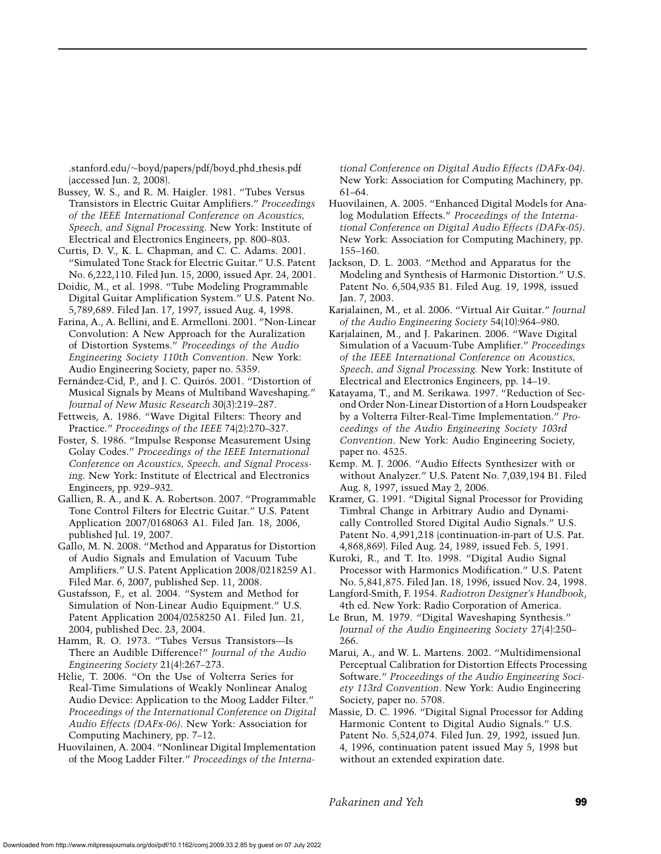.stanford.edu/∼boyd/papers/pdf/boyd phd thesis.pdf (accessed Jun. 2, 2008).

Bussey, W. S., and R. M. Haigler. 1981. "Tubes Versus Transistors in Electric Guitar Amplifiers." *Proceedings of the IEEE International Conference on Acoustics, Speech, and Signal Processing*. New York: Institute of Electrical and Electronics Engineers, pp. 800–803.

Curtis, D. V., K. L. Chapman, and C. C. Adams. 2001. "Simulated Tone Stack for Electric Guitar." U.S. Patent No. 6,222,110. Filed Jun. 15, 2000, issued Apr. 24, 2001.

Doidic, M., et al. 1998. "Tube Modeling Programmable Digital Guitar Amplification System." U.S. Patent No. 5,789,689. Filed Jan. 17, 1997, issued Aug. 4, 1998.

Farina, A., A. Bellini, and E. Armelloni. 2001. "Non-Linear Convolution: A New Approach for the Auralization of Distortion Systems." *Proceedings of the Audio Engineering Society 110th Convention*. New York: Audio Engineering Society, paper no. 5359.

Fernández-Cid, P., and J. C. Quirós. 2001. "Distortion of Musical Signals by Means of Multiband Waveshaping." *Journal of New Music Research* 30(3):219–287.

Fettweis, A. 1986. "Wave Digital Filters: Theory and Practice." *Proceedings of the IEEE* 74(2):270–327.

Foster, S. 1986. "Impulse Response Measurement Using Golay Codes." *Proceedings of the IEEE International Conference on Acoustics, Speech, and Signal Processing*. New York: Institute of Electrical and Electronics Engineers, pp. 929–932.

Gallien, R. A., and K. A. Robertson. 2007. "Programmable Tone Control Filters for Electric Guitar." U.S. Patent Application 2007/0168063 A1. Filed Jan. 18, 2006, published Jul. 19, 2007.

Gallo, M. N. 2008. "Method and Apparatus for Distortion of Audio Signals and Emulation of Vacuum Tube Amplifiers." U.S. Patent Application 2008/0218259 A1. Filed Mar. 6, 2007, published Sep. 11, 2008.

Gustafsson, F., et al. 2004. "System and Method for Simulation of Non-Linear Audio Equipment." U.S. Patent Application 2004/0258250 A1. Filed Jun. 21, 2004, published Dec. 23, 2004.

Hamm, R. O. 1973. "Tubes Versus Transistors—Is There an Audible Difference?" *Journal of the Audio Engineering Society* 21(4):267–273.

Helie, T. 2006. "On the Use of Volterra Series for ` Real-Time Simulations of Weakly Nonlinear Analog Audio Device: Application to the Moog Ladder Filter." *Proceedings of the International Conference on Digital Audio Effects (DAFx-06)*. New York: Association for Computing Machinery, pp. 7–12.

Huovilainen, A. 2004. "Nonlinear Digital Implementation of the Moog Ladder Filter." *Proceedings of the Interna-* *tional Conference on Digital Audio Effects (DAFx-04)*. New York: Association for Computing Machinery, pp. 61–64.

Huovilainen, A. 2005. "Enhanced Digital Models for Analog Modulation Effects." *Proceedings of the International Conference on Digital Audio Effects (DAFx-05)*. New York: Association for Computing Machinery, pp. 155–160.

Jackson, D. L. 2003. "Method and Apparatus for the Modeling and Synthesis of Harmonic Distortion." U.S. Patent No. 6,504,935 B1. Filed Aug. 19, 1998, issued Jan. 7, 2003.

Karjalainen, M., et al. 2006. "Virtual Air Guitar." *Journal of the Audio Engineering Society* 54(10):964–980.

Karjalainen, M., and J. Pakarinen. 2006. "Wave Digital Simulation of a Vacuum-Tube Amplifier." *Proceedings of the IEEE International Conference on Acoustics, Speech, and Signal Processing.* New York: Institute of Electrical and Electronics Engineers, pp. 14–19.

Katayama, T., and M. Serikawa. 1997. "Reduction of Second Order Non-Linear Distortion of a Horn Loudspeaker by a Volterra Filter-Real-Time Implementation." *Proceedings of the Audio Engineering Society 103rd Convention*. New York: Audio Engineering Society, paper no. 4525.

Kemp. M. J. 2006. "Audio Effects Synthesizer with or without Analyzer." U.S. Patent No. 7,039,194 B1. Filed Aug. 8, 1997, issued May 2, 2006.

Kramer, G. 1991. "Digital Signal Processor for Providing Timbral Change in Arbitrary Audio and Dynamically Controlled Stored Digital Audio Signals." U.S. Patent No. 4,991,218 (continuation-in-part of U.S. Pat. 4,868,869). Filed Aug. 24, 1989, issued Feb. 5, 1991.

Kuroki, R., and T. Ito. 1998. "Digital Audio Signal Processor with Harmonics Modification." U.S. Patent No. 5,841,875. Filed Jan. 18, 1996, issued Nov. 24, 1998.

Langford-Smith, F. 1954. *Radiotron Designer's Handbook*, 4th ed. New York: Radio Corporation of America.

Le Brun, M. 1979. "Digital Waveshaping Synthesis." *Journal of the Audio Engineering Society* 27(4):250– 266.

Marui, A., and W. L. Martens. 2002. "Multidimensional Perceptual Calibration for Distortion Effects Processing Software." *Proceedings of the Audio Engineering Society 113rd Convention*. New York: Audio Engineering Society, paper no. 5708.

Massie, D. C. 1996. "Digital Signal Processor for Adding Harmonic Content to Digital Audio Signals." U.S. Patent No. 5,524,074. Filed Jun. 29, 1992, issued Jun. 4, 1996, continuation patent issued May 5, 1998 but without an extended expiration date.